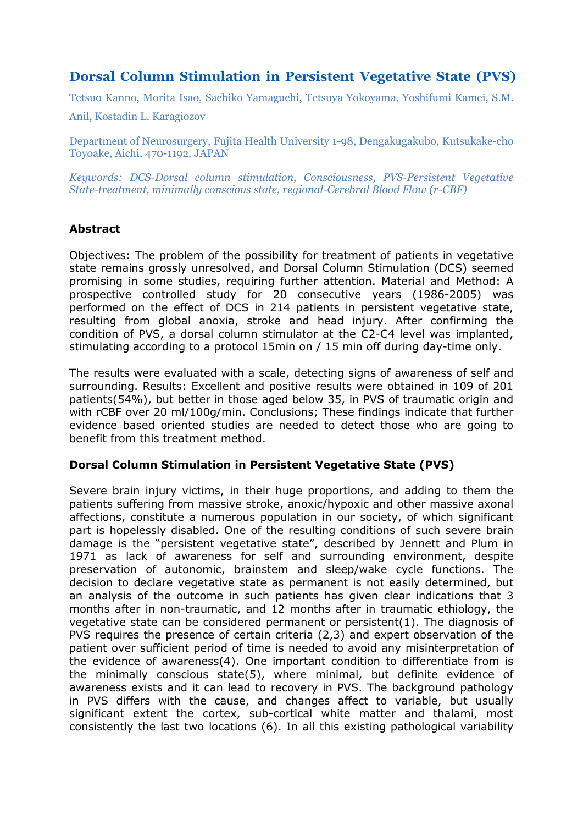# **Dorsal Column Stimulation in Persistent Vegetative State (PVS)**

Tetsuo Kanno, Morita Isao, Sachiko Yamaguchi, Tetsuya Yokoyama, Yoshifumi Kamei, S.M.

Anil, Kostadin L. Karagiozov

Department of Neurosurgery, Fujita Health University 1-98, Dengakugakubo, Kutsukake-cho Toyoake, Aichi, 470-1192, JAPAN

*Keywords: DCS-Dorsal column stimulation, Consciousness, PVS-Persistent Vegetative State-treatment, minimally conscious state, regional-Cerebral Blood Flow (r-CBF)* 

# **Abstract**

Objectives: The problem of the possibility for treatment of patients in vegetative state remains grossly unresolved, and Dorsal Column Stimulation (DCS) seemed promising in some studies, requiring further attention. Material and Method: A prospective controlled study for 20 consecutive years (1986-2005) was performed on the effect of DCS in 214 patients in persistent vegetative state, resulting from global anoxia, stroke and head injury. After confirming the condition of PVS, a dorsal column stimulator at the C2-C4 level was implanted, stimulating according to a protocol 15min on / 15 min off during day-time only.

The results were evaluated with a scale, detecting signs of awareness of self and surrounding. Results: Excellent and positive results were obtained in 109 of 201 patients(54%), but better in those aged below 35, in PVS of traumatic origin and with rCBF over 20 ml/100g/min. Conclusions; These findings indicate that further evidence based oriented studies are needed to detect those who are going to benefit from this treatment method.

# **Dorsal Column Stimulation in Persistent Vegetative State (PVS)**

Severe brain injury victims, in their huge proportions, and adding to them the patients suffering from massive stroke, anoxic/hypoxic and other massive axonal affections, constitute a numerous population in our society, of which significant part is hopelessly disabled. One of the resulting conditions of such severe brain damage is the "persistent vegetative state", described by Jennett and Plum in 1971 as lack of awareness for self and surrounding environment, despite preservation of autonomic, brainstem and sleep/wake cycle functions. The decision to declare vegetative state as permanent is not easily determined, but an analysis of the outcome in such patients has given clear indications that 3 months after in non-traumatic, and 12 months after in traumatic ethiology, the vegetative state can be considered permanent or persistent(1). The diagnosis of PVS requires the presence of certain criteria (2,3) and expert observation of the patient over sufficient period of time is needed to avoid any misinterpretation of the evidence of awareness(4). One important condition to differentiate from is the minimally conscious state(5), where minimal, but definite evidence of awareness exists and it can lead to recovery in PVS. The background pathology in PVS differs with the cause, and changes affect to variable, but usually significant extent the cortex, sub-cortical white matter and thalami, most consistently the last two locations (6). In all this existing pathological variability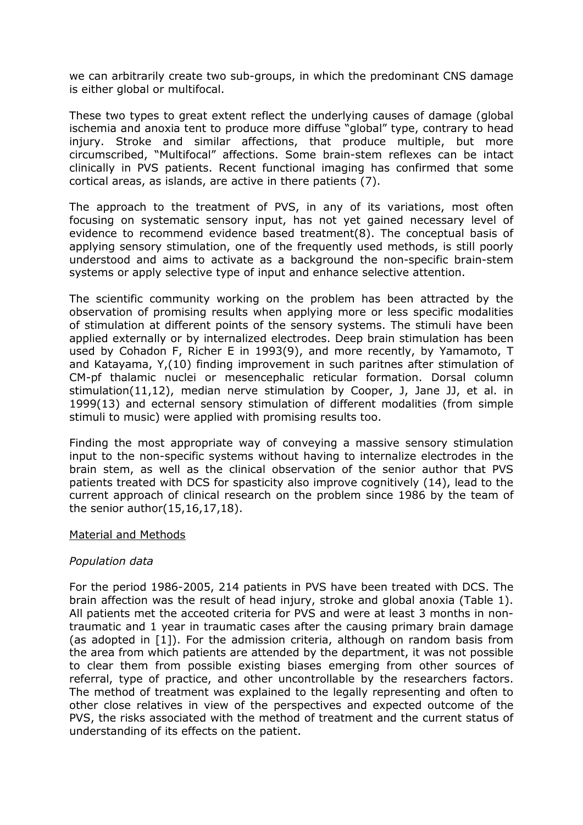we can arbitrarily create two sub-groups, in which the predominant CNS damage is either global or multifocal.

These two types to great extent reflect the underlying causes of damage (global ischemia and anoxia tent to produce more diffuse "global" type, contrary to head injury. Stroke and similar affections, that produce multiple, but more circumscribed, "Multifocal" affections. Some brain-stem reflexes can be intact clinically in PVS patients. Recent functional imaging has confirmed that some cortical areas, as islands, are active in there patients (7).

The approach to the treatment of PVS, in any of its variations, most often focusing on systematic sensory input, has not yet gained necessary level of evidence to recommend evidence based treatment(8). The conceptual basis of applying sensory stimulation, one of the frequently used methods, is still poorly understood and aims to activate as a background the non-specific brain-stem systems or apply selective type of input and enhance selective attention.

The scientific community working on the problem has been attracted by the observation of promising results when applying more or less specific modalities of stimulation at different points of the sensory systems. The stimuli have been applied externally or by internalized electrodes. Deep brain stimulation has been used by Cohadon F, Richer E in 1993(9), and more recently, by Yamamoto, T and Katayama, Y,(10) finding improvement in such paritnes after stimulation of CM-pf thalamic nuclei or mesencephalic reticular formation. Dorsal column stimulation(11,12), median nerve stimulation by Cooper, J, Jane JJ, et al. in 1999(13) and ecternal sensory stimulation of different modalities (from simple stimuli to music) were applied with promising results too.

Finding the most appropriate way of conveying a massive sensory stimulation input to the non-specific systems without having to internalize electrodes in the brain stem, as well as the clinical observation of the senior author that PVS patients treated with DCS for spasticity also improve cognitively (14), lead to the current approach of clinical research on the problem since 1986 by the team of the senior author(15,16,17,18).

#### Material and Methods

#### *Population data*

For the period 1986-2005, 214 patients in PVS have been treated with DCS. The brain affection was the result of head injury, stroke and global anoxia (Table 1). All patients met the acceoted criteria for PVS and were at least 3 months in nontraumatic and 1 year in traumatic cases after the causing primary brain damage (as adopted in [1]). For the admission criteria, although on random basis from the area from which patients are attended by the department, it was not possible to clear them from possible existing biases emerging from other sources of referral, type of practice, and other uncontrollable by the researchers factors. The method of treatment was explained to the legally representing and often to other close relatives in view of the perspectives and expected outcome of the PVS, the risks associated with the method of treatment and the current status of understanding of its effects on the patient.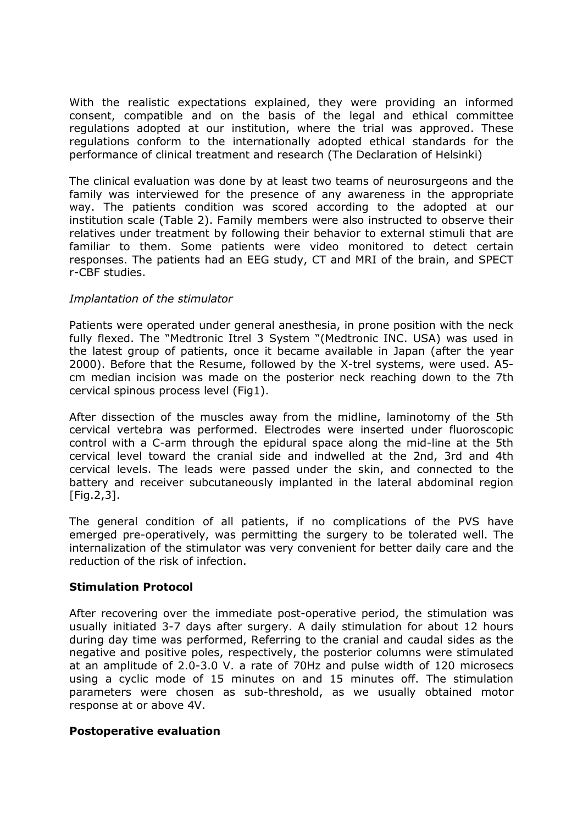With the realistic expectations explained, they were providing an informed consent, compatible and on the basis of the legal and ethical committee regulations adopted at our institution, where the trial was approved. These regulations conform to the internationally adopted ethical standards for the performance of clinical treatment and research (The Declaration of Helsinki)

The clinical evaluation was done by at least two teams of neurosurgeons and the family was interviewed for the presence of any awareness in the appropriate way. The patients condition was scored according to the adopted at our institution scale (Table 2). Family members were also instructed to observe their relatives under treatment by following their behavior to external stimuli that are familiar to them. Some patients were video monitored to detect certain responses. The patients had an EEG study, CT and MRI of the brain, and SPECT r-CBF studies.

#### *Implantation of the stimulator*

Patients were operated under general anesthesia, in prone position with the neck fully flexed. The "Medtronic Itrel 3 System "(Medtronic INC. USA) was used in the latest group of patients, once it became available in Japan (after the year 2000). Before that the Resume, followed by the X-trel systems, were used. A5 cm median incision was made on the posterior neck reaching down to the 7th cervical spinous process level (Fig1).

After dissection of the muscles away from the midline, laminotomy of the 5th cervical vertebra was performed. Electrodes were inserted under fluoroscopic control with a C-arm through the epidural space along the mid-line at the 5th cervical level toward the cranial side and indwelled at the 2nd, 3rd and 4th cervical levels. The leads were passed under the skin, and connected to the battery and receiver subcutaneously implanted in the lateral abdominal region  $[Fig. 2, 3]$ .

The general condition of all patients, if no complications of the PVS have emerged pre-operatively, was permitting the surgery to be tolerated well. The internalization of the stimulator was very convenient for better daily care and the reduction of the risk of infection.

#### **Stimulation Protocol**

After recovering over the immediate post-operative period, the stimulation was usually initiated 3-7 days after surgery. A daily stimulation for about 12 hours during day time was performed, Referring to the cranial and caudal sides as the negative and positive poles, respectively, the posterior columns were stimulated at an amplitude of 2.0-3.0 V. a rate of 70Hz and pulse width of 120 microsecs using a cyclic mode of 15 minutes on and 15 minutes off. The stimulation parameters were chosen as sub-threshold, as we usually obtained motor response at or above 4V.

#### **Postoperative evaluation**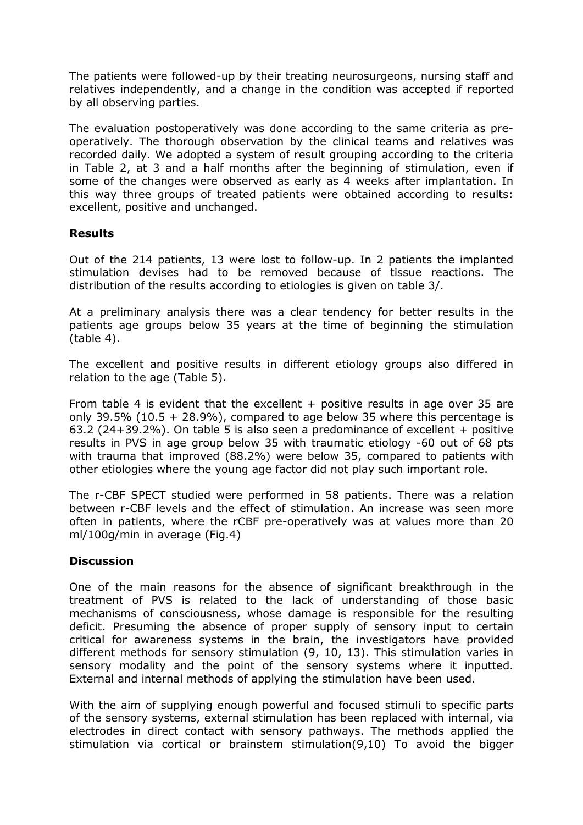The patients were followed-up by their treating neurosurgeons, nursing staff and relatives independently, and a change in the condition was accepted if reported by all observing parties.

The evaluation postoperatively was done according to the same criteria as preoperatively. The thorough observation by the clinical teams and relatives was recorded daily. We adopted a system of result grouping according to the criteria in Table 2, at 3 and a half months after the beginning of stimulation, even if some of the changes were observed as early as 4 weeks after implantation. In this way three groups of treated patients were obtained according to results: excellent, positive and unchanged.

#### **Results**

Out of the 214 patients, 13 were lost to follow-up. In 2 patients the implanted stimulation devises had to be removed because of tissue reactions. The distribution of the results according to etiologies is given on table 3/.

At a preliminary analysis there was a clear tendency for better results in the patients age groups below 35 years at the time of beginning the stimulation (table 4).

The excellent and positive results in different etiology groups also differed in relation to the age (Table 5).

From table 4 is evident that the excellent  $+$  positive results in age over 35 are only 39.5% (10.5 + 28.9%), compared to age below 35 where this percentage is 63.2 (24+39.2%). On table 5 is also seen a predominance of excellent + positive results in PVS in age group below 35 with traumatic etiology -60 out of 68 pts with trauma that improved (88.2%) were below 35, compared to patients with other etiologies where the young age factor did not play such important role.

The r-CBF SPECT studied were performed in 58 patients. There was a relation between r-CBF levels and the effect of stimulation. An increase was seen more often in patients, where the rCBF pre-operatively was at values more than 20 ml/100g/min in average (Fig.4)

# **Discussion**

One of the main reasons for the absence of significant breakthrough in the treatment of PVS is related to the lack of understanding of those basic mechanisms of consciousness, whose damage is responsible for the resulting deficit. Presuming the absence of proper supply of sensory input to certain critical for awareness systems in the brain, the investigators have provided different methods for sensory stimulation (9, 10, 13). This stimulation varies in sensory modality and the point of the sensory systems where it inputted. External and internal methods of applying the stimulation have been used.

With the aim of supplying enough powerful and focused stimuli to specific parts of the sensory systems, external stimulation has been replaced with internal, via electrodes in direct contact with sensory pathways. The methods applied the stimulation via cortical or brainstem stimulation(9,10) To avoid the bigger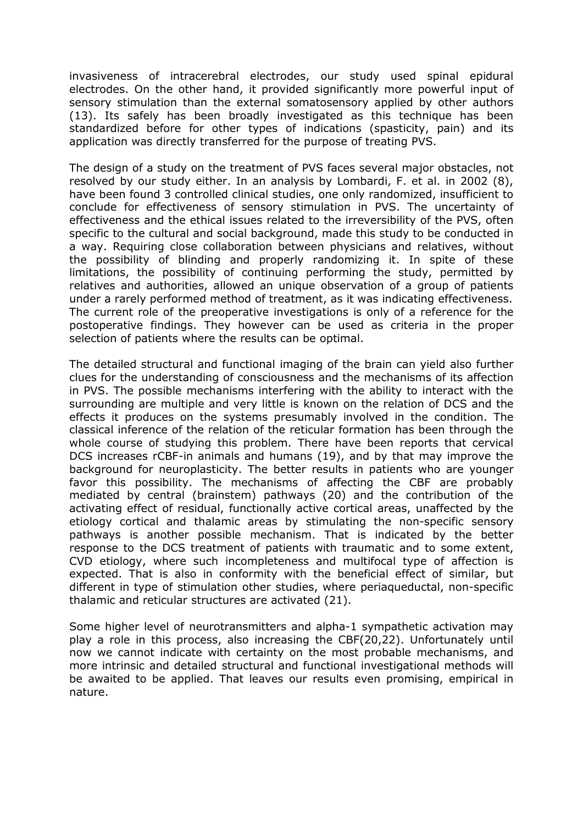invasiveness of intracerebral electrodes, our study used spinal epidural electrodes. On the other hand, it provided significantly more powerful input of sensory stimulation than the external somatosensory applied by other authors (13). Its safely has been broadly investigated as this technique has been standardized before for other types of indications (spasticity, pain) and its application was directly transferred for the purpose of treating PVS.

The design of a study on the treatment of PVS faces several major obstacles, not resolved by our study either. In an analysis by Lombardi, F. et al. in 2002 (8), have been found 3 controlled clinical studies, one only randomized, insufficient to conclude for effectiveness of sensory stimulation in PVS. The uncertainty of effectiveness and the ethical issues related to the irreversibility of the PVS, often specific to the cultural and social background, made this study to be conducted in a way. Requiring close collaboration between physicians and relatives, without the possibility of blinding and properly randomizing it. In spite of these limitations, the possibility of continuing performing the study, permitted by relatives and authorities, allowed an unique observation of a group of patients under a rarely performed method of treatment, as it was indicating effectiveness. The current role of the preoperative investigations is only of a reference for the postoperative findings. They however can be used as criteria in the proper selection of patients where the results can be optimal.

The detailed structural and functional imaging of the brain can yield also further clues for the understanding of consciousness and the mechanisms of its affection in PVS. The possible mechanisms interfering with the ability to interact with the surrounding are multiple and very little is known on the relation of DCS and the effects it produces on the systems presumably involved in the condition. The classical inference of the relation of the reticular formation has been through the whole course of studying this problem. There have been reports that cervical DCS increases rCBF-in animals and humans (19), and by that may improve the background for neuroplasticity. The better results in patients who are younger favor this possibility. The mechanisms of affecting the CBF are probably mediated by central (brainstem) pathways (20) and the contribution of the activating effect of residual, functionally active cortical areas, unaffected by the etiology cortical and thalamic areas by stimulating the non-specific sensory pathways is another possible mechanism. That is indicated by the better response to the DCS treatment of patients with traumatic and to some extent, CVD etiology, where such incompleteness and multifocal type of affection is expected. That is also in conformity with the beneficial effect of similar, but different in type of stimulation other studies, where periaqueductal, non-specific thalamic and reticular structures are activated (21).

Some higher level of neurotransmitters and alpha-1 sympathetic activation may play a role in this process, also increasing the CBF(20,22). Unfortunately until now we cannot indicate with certainty on the most probable mechanisms, and more intrinsic and detailed structural and functional investigational methods will be awaited to be applied. That leaves our results even promising, empirical in nature.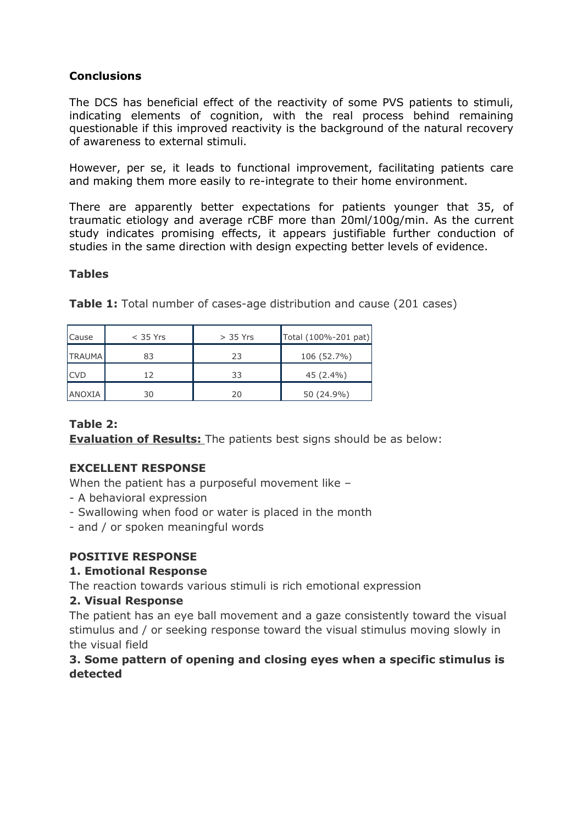# **Conclusions**

The DCS has beneficial effect of the reactivity of some PVS patients to stimuli, indicating elements of cognition, with the real process behind remaining questionable if this improved reactivity is the background of the natural recovery of awareness to external stimuli.

However, per se, it leads to functional improvement, facilitating patients care and making them more easily to re-integrate to their home environment.

There are apparently better expectations for patients younger that 35, of traumatic etiology and average rCBF more than 20ml/100g/min. As the current study indicates promising effects, it appears justifiable further conduction of studies in the same direction with design expecting better levels of evidence.

# **Tables**

| Cause         | $<$ 35 Yrs | $> 35$ Yrs | Total (100%-201 pat) |
|---------------|------------|------------|----------------------|
| <b>TRAUMA</b> | 83         | 23         | 106 (52.7%)          |
| <b>ICVD</b>   | 12         | 33         | 45 (2.4%)            |
| ANOXIA        | 30         | 20         | 50 (24.9%)           |

**Table 1:** Total number of cases-age distribution and cause (201 cases)

# **Table 2:**

**Evaluation of Results:** The patients best signs should be as below:

# **EXCELLENT RESPONSE**

When the patient has a purposeful movement like -

- A behavioral expression
- Swallowing when food or water is placed in the month
- and / or spoken meaningful words

# **POSITIVE RESPONSE**

# **1. Emotional Response**

The reaction towards various stimuli is rich emotional expression

# **2. Visual Response**

The patient has an eye ball movement and a gaze consistently toward the visual stimulus and / or seeking response toward the visual stimulus moving slowly in the visual field

# **3. Some pattern of opening and closing eyes when a specific stimulus is detected**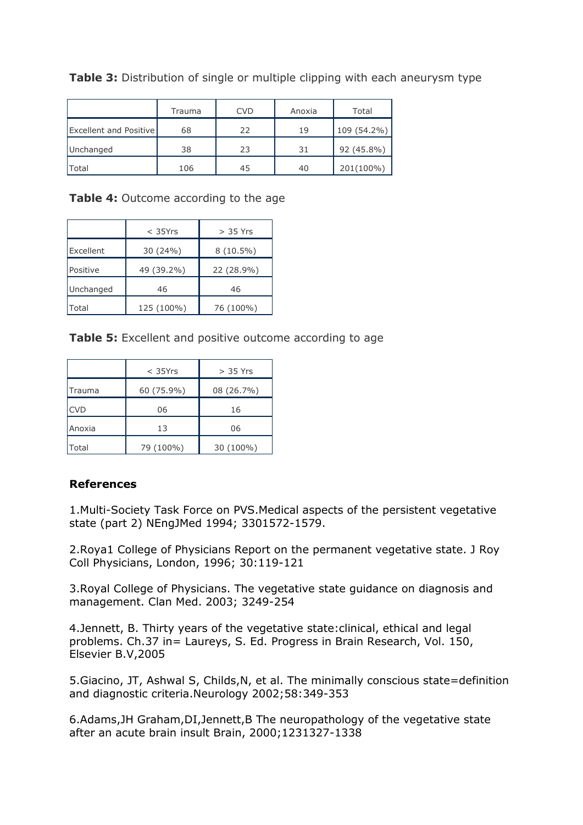|                               | Trauma | <b>CVD</b> | Anoxia | Total       |
|-------------------------------|--------|------------|--------|-------------|
| <b>Excellent and Positive</b> | 68     | 22         | 19     | 109 (54.2%) |
| Unchanged                     | 38     | 23         | 31     | 92 (45.8%)  |
| Total                         | 106    | 45         | 40     | 201(100%)   |

**Table 3:** Distribution of single or multiple clipping with each aneurysm type

**Table 4:** Outcome according to the age

|              | $<$ 35Yrs  | $> 35$ Yrs  |
|--------------|------------|-------------|
| Excellent    | 30 (24%)   | $8(10.5\%)$ |
| Positive     | 49 (39.2%) | 22 (28.9%)  |
| Unchanged    | 46         | 46          |
| <b>Total</b> | 125 (100%) | 76 (100%)   |

**Table 5:** Excellent and positive outcome according to age

|               | $<$ 35Yrs  | $>$ 35 Yrs |
|---------------|------------|------------|
| <b>Trauma</b> | 60 (75.9%) | 08 (26.7%) |
| <b>CVD</b>    | 06         | 16         |
| Anoxia        | 13         | 06         |
| <b>Total</b>  | 79 (100%)  | 30 (100%)  |

# **References**

1.Multi-Society Task Force on PVS.Medical aspects of the persistent vegetative state (part 2) NEngJMed 1994; 3301572-1579.

2.Roya1 College of Physicians Report on the permanent vegetative state. J Roy Coll Physicians, London, 1996; 30:119-121

3.Royal College of Physicians. The vegetative state guidance on diagnosis and management. Clan Med. 2003; 3249-254

4.Jennett, B. Thirty years of the vegetative state:clinical, ethical and legal problems. Ch.37 in= Laureys, S. Ed. Progress in Brain Research, Vol. 150, Elsevier B.V,2005

5.Giacino, JT, Ashwal S, Childs,N, et al. The minimally conscious state=definition and diagnostic criteria.Neurology 2002;58:349-353

6.Adams,JH Graham,DI,Jennett,B The neuropathology of the vegetative state after an acute brain insult Brain, 2000;1231327-1338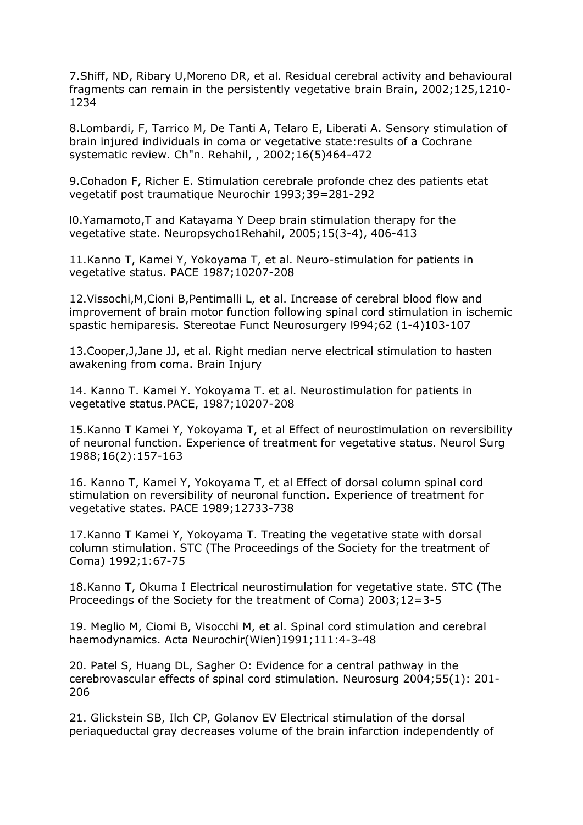7.Shiff, ND, Ribary U,Moreno DR, et al. Residual cerebral activity and behavioural fragments can remain in the persistently vegetative brain Brain, 2002;125,1210- 1234

8.Lombardi, F, Tarrico M, De Tanti A, Telaro E, Liberati A. Sensory stimulation of brain injured individuals in coma or vegetative state:results of a Cochrane systematic review. Ch"n. Rehahil, , 2002;16(5)464-472

9.Cohadon F, Richer E. Stimulation cerebrale profonde chez des patients etat vegetatif post traumatique Neurochir 1993;39=281-292

l0.Yamamoto,T and Katayama Y Deep brain stimulation therapy for the vegetative state. Neuropsycho1Rehahil, 2005;15(3-4), 406-413

11.Kanno T, Kamei Y, Yokoyama T, et al. Neuro-stimulation for patients in vegetative status. PACE 1987;10207-208

12.Vissochi,M,Cioni B,Pentimalli L, et al. Increase of cerebral blood flow and improvement of brain motor function following spinal cord stimulation in ischemic spastic hemiparesis. Stereotae Funct Neurosurgery l994;62 (1-4)103-107

13.Cooper,J,Jane JJ, et al. Right median nerve electrical stimulation to hasten awakening from coma. Brain Injury

14. Kanno T. Kamei Y. Yokoyama T. et al. Neurostimulation for patients in vegetative status.PACE, 1987;10207-208

15.Kanno T Kamei Y, Yokoyama T, et al Effect of neurostimulation on reversibility of neuronal function. Experience of treatment for vegetative status. Neurol Surg 1988;16(2):157-163

16. Kanno T, Kamei Y, Yokoyama T, et al Effect of dorsal column spinal cord stimulation on reversibility of neuronal function. Experience of treatment for vegetative states. PACE 1989;12733-738

17.Kanno T Kamei Y, Yokoyama T. Treating the vegetative state with dorsal column stimulation. STC (The Proceedings of the Society for the treatment of Coma) 1992;1:67-75

18.Kanno T, Okuma I Electrical neurostimulation for vegetative state. STC (The Proceedings of the Society for the treatment of Coma) 2003;12=3-5

19. Meglio M, Ciomi B, Visocchi M, et al. Spinal cord stimulation and cerebral haemodynamics. Acta Neurochir(Wien)1991;111:4-3-48

20. Patel S, Huang DL, Sagher O: Evidence for a central pathway in the cerebrovascular effects of spinal cord stimulation. Neurosurg 2004;55(1): 201- 206

21. Glickstein SB, Ilch CP, Golanov EV Electrical stimulation of the dorsal periaqueductal gray decreases volume of the brain infarction independently of